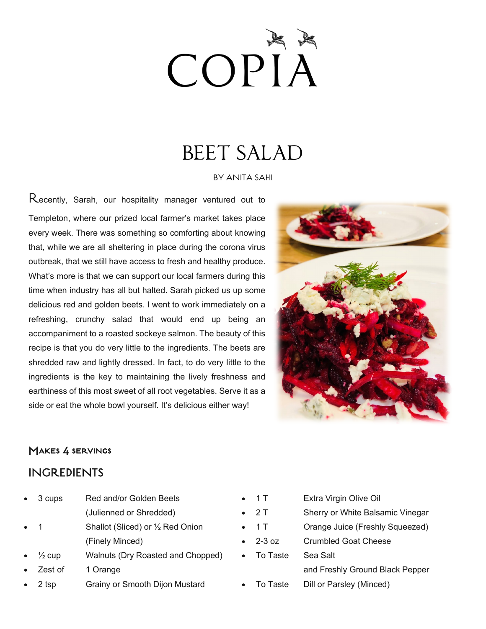# COPIA

## BEET SALAD

#### BY ANITA SAHI

Recently, Sarah, our hospitality manager ventured out to Templeton, where our prized local farmer's market takes place every week. There was something so comforting about knowing that, while we are all sheltering in place during the corona virus outbreak, that we still have access to fresh and healthy produce. What's more is that we can support our local farmers during this time when industry has all but halted. Sarah picked us up some delicious red and golden beets. I went to work immediately on a refreshing, crunchy salad that would end up being an accompaniment to a roasted sockeye salmon. The beauty of this recipe is that you do very little to the ingredients. The beets are shredded raw and lightly dressed. In fact, to do very little to the ingredients is the key to maintaining the lively freshness and earthiness of this most sweet of all root vegetables. Serve it as a side or eat the whole bowl yourself. It's delicious either way!



### Makes 4 servings

### INGREDIENTS

|             | 3 cups                        | Red and/or Golden Beets           |  |
|-------------|-------------------------------|-----------------------------------|--|
|             |                               | (Julienned or Shredded)           |  |
| $\bullet$ 1 |                               | Shallot (Sliced) or 1/2 Red Onion |  |
|             |                               | (Finely Minced)                   |  |
|             | $\bullet\quad\frac{1}{2}$ cup | Walnuts (Dry Roasted and Chopped) |  |
|             | Zest of                       | 1 Orange                          |  |
|             | 2 tsp                         | Grainy or Smooth Dijon Mustard    |  |

| $\bullet$ 1 T      | Extra Virgin Olive Oil           |
|--------------------|----------------------------------|
| $\bullet$ 2T       | Sherry or White Balsamic Vinegar |
| $\bullet$ 1 T      | Orange Juice (Freshly Squeezed)  |
| $2-3$ oz           | Crumbled Goat Cheese             |
| $\bullet$ To Taste | Sea Salt                         |
|                    | and Freshly Ground Black Pepper  |
| To Taste           | Dill or Parsley (Minced)         |